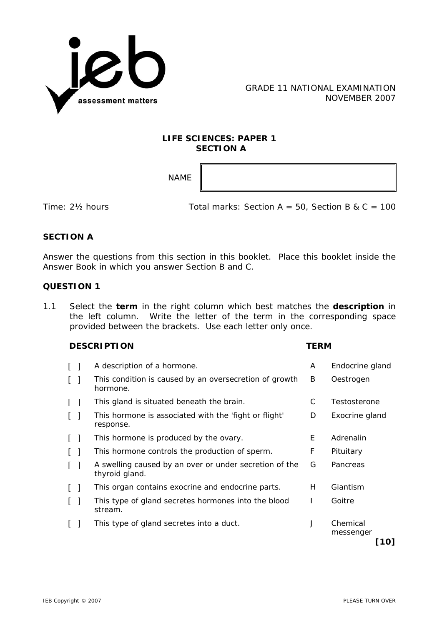

## **LIFE SCIENCES: PAPER 1 SECTION A**

NAME

Time:  $2\frac{1}{2}$  hours Total marks: Section A = 50, Section B & C = 100

# **SECTION A**

Answer the questions from this section in this booklet. Place this booklet inside the Answer Book in which you answer Section B and C.

## **QUESTION 1**

1.1 Select the **term** in the right column which best matches the **description** in the left column. Write the letter of the term in the corresponding space provided between the brackets. Use each letter only once.

#### **DESCRIPTION TERM**

|                    | A description of a hormone.                                              | A  | Endocrine gland               |
|--------------------|--------------------------------------------------------------------------|----|-------------------------------|
| $\Box$             | This condition is caused by an oversecretion of growth<br>hormone.       | B  | Oestrogen                     |
| $\Box$             | This gland is situated beneath the brain.                                | С  | Testosterone                  |
| $\lceil \; \rceil$ | This hormone is associated with the 'fight or flight'<br>response.       | D  | Exocrine gland                |
| $\Box$             | This hormone is produced by the ovary.                                   | E. | Adrenalin                     |
| $\mathbf{1}$       | This hormone controls the production of sperm.                           | F  | Pituitary                     |
| $\lceil \rceil$    | A swelling caused by an over or under secretion of the<br>thyroid gland. | G  | Pancreas                      |
| $\mathbf{1}$       | This organ contains exocrine and endocrine parts.                        | H. | Giantism                      |
|                    | This type of gland secretes hormones into the blood<br>stream.           |    | Goitre                        |
|                    | This type of gland secretes into a duct.                                 | J  | Chemical<br>messenger<br>[10] |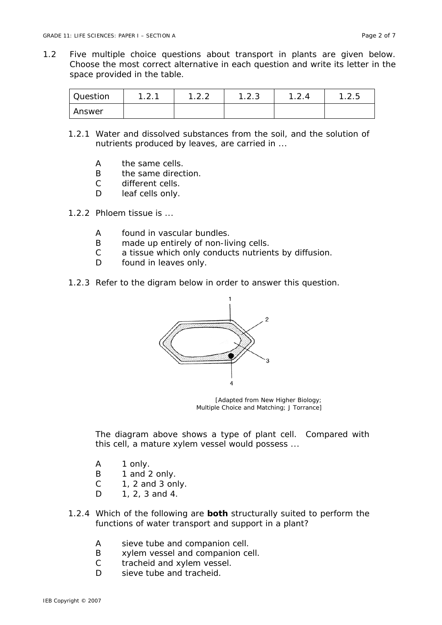1.2 Five multiple choice questions about transport in plants are given below. Choose the most correct alternative in each question and write its letter in the space provided in the table.

| Question | $\sim$ 1<br>. . <u>.</u> | $\sim$ | 1.2.3 | 1つに<br>$\cdot$ |
|----------|--------------------------|--------|-------|----------------|
| Answer   |                          |        |       |                |

- 1.2.1 Water and dissolved substances from the soil, and the solution of nutrients produced by leaves, are carried in ...
	- A the same cells.
	- B the same direction.
	- C different cells.
	- D leaf cells only.
- 1.2.2 Phloem tissue is ...
	- A found in vascular bundles.
	- B made up entirely of non-living cells.
	- C a tissue which only conducts nutrients by diffusion.
	- D found in leaves only.
- 1.2.3 Refer to the digram below in order to answer this question.



[Adapted from *New Higher Biology; Multiple Choice and Matching*; J Torrance]

The diagram above shows a type of plant cell. Compared with this cell, a mature xylem vessel would possess ...

- A 1 only.
- B 1 and 2 only.
- $C = 1$ , 2 and 3 only.
- D 1, 2, 3 and 4.
- 1.2.4 Which of the following are **both** structurally suited to perform the functions of water transport and support in a plant?
	- A sieve tube and companion cell.
	- B xylem vessel and companion cell.
	- C tracheid and xylem vessel.
	- D sieve tube and tracheid.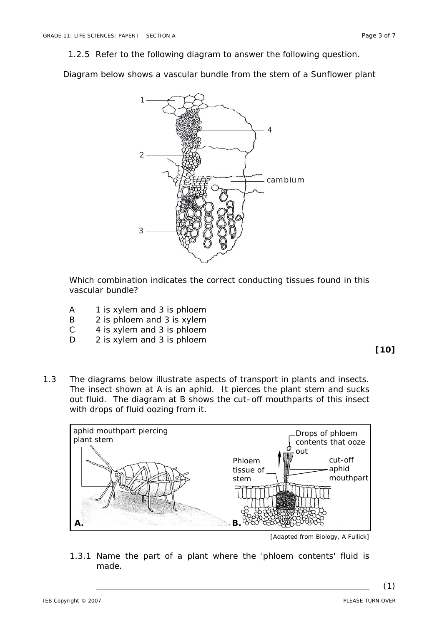1.2.5 Refer to the following diagram to answer the following question.

Diagram below shows a vascular bundle from the stem of a Sunflower plant



Which combination indicates the correct conducting tissues found in this vascular bundle?

- A 1 is xylem and 3 is phloem
- B 2 is phloem and 3 is xylem
- C 4 is xylem and 3 is phloem
- D 2 is xylem and 3 is phloem

### **[10]**

1.3 The diagrams below illustrate aspects of transport in plants and insects. The insect shown at A is an aphid. It pierces the plant stem and sucks out fluid. The diagram at B shows the cut–off mouthparts of this insect with drops of fluid oozing from it.



<sup>[</sup>Adapted from *Biology*, A Fullick]

1.3.1 Name the part of a plant where the 'phloem contents' fluid is made.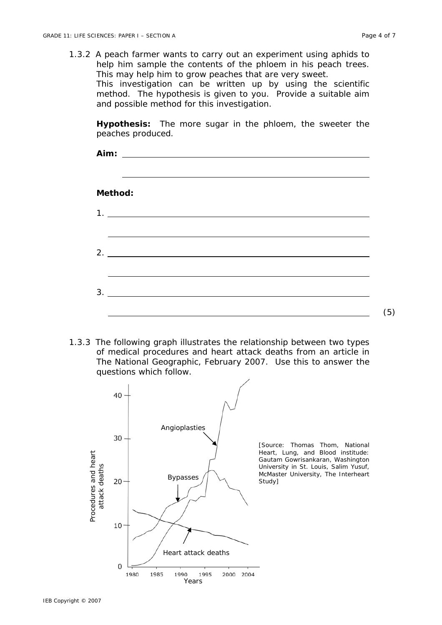1.3.2 A peach farmer wants to carry out an experiment using aphids to help him sample the contents of the phloem in his peach trees. This may help him to grow peaches that are very sweet. This investigation can be written up by using the scientific method. The hypothesis is given to you. Provide a suitable aim and possible method for this investigation.

**Hypothesis:** The more sugar in the phloem, the sweeter the peaches produced.

| Aim:                                                                                                                        |     |  |  |  |  |
|-----------------------------------------------------------------------------------------------------------------------------|-----|--|--|--|--|
| Method:                                                                                                                     |     |  |  |  |  |
| 1.<br><u> 1989 - Andrea Stadt Britain, fransk politik (d. 1989)</u>                                                         |     |  |  |  |  |
| 2.<br><u> 1989 - Jan Samuel Barbara, margaret e popularista e popularista e popularista e popularista e popularista e</u>   |     |  |  |  |  |
| 3.<br><u> 1989 - Johann Stoff, deutscher Stoff, der Stoff, der Stoff, der Stoff, der Stoff, der Stoff, der Stoff, der S</u> |     |  |  |  |  |
|                                                                                                                             | (5) |  |  |  |  |

1.3.3 The following graph illustrates the relationship between two types of medical procedures and heart attack deaths from an article in *The National Geographic*, February 2007. Use this to answer the questions which follow.

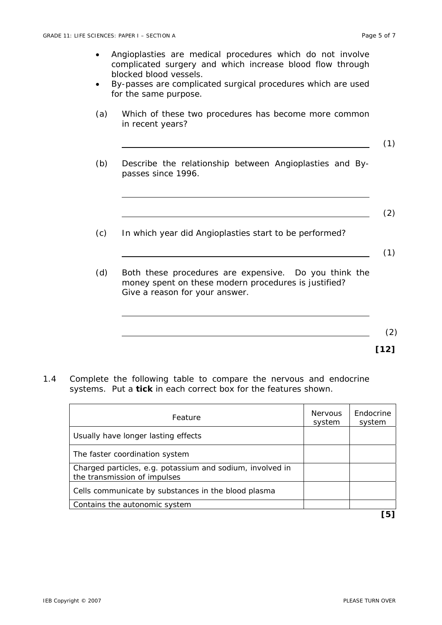- Angioplasties are medical procedures which do not involve complicated surgery and which increase blood flow through blocked blood vessels.
- By-passes are complicated surgical procedures which are used for the same purpose.
- (a) Which of these two procedures has become more common in recent years?
	- (1)
- (b) Describe the relationship between Angioplasties and Bypasses since 1996.
	- (2)
- (c) In which year did Angioplasties start to be performed?
- (1)
- (d) Both these procedures are expensive. Do you think the money spent on these modern procedures is justified? Give a reason for your answer.
- (2) **[12]**
- 1.4 Complete the following table to compare the nervous and endocrine systems. Put a **tick** in each correct box for the features shown.

| Feature                                                                                   | <b>Nervous</b><br>system | Endocrine<br>system |
|-------------------------------------------------------------------------------------------|--------------------------|---------------------|
| Usually have longer lasting effects                                                       |                          |                     |
| The faster coordination system                                                            |                          |                     |
| Charged particles, e.g. potassium and sodium, involved in<br>the transmission of impulses |                          |                     |
| Cells communicate by substances in the blood plasma                                       |                          |                     |
| Contains the autonomic system                                                             |                          |                     |
|                                                                                           |                          | 5                   |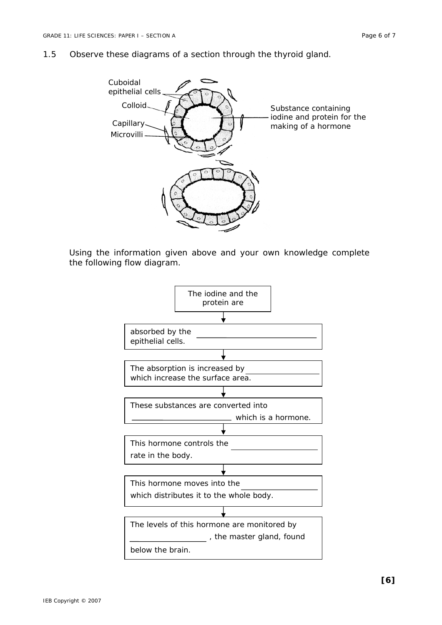1.5 Observe these diagrams of a section through the thyroid gland.



Using the information given above and your own knowledge complete the following flow diagram.